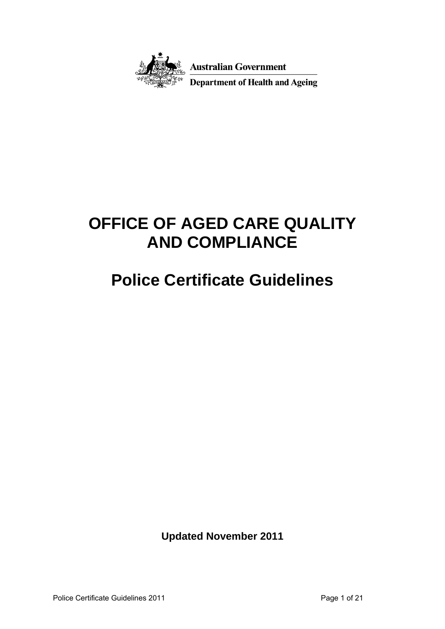

**Australian Government** 

Department of Health and Ageing

# **OFFICE OF AGED CARE QUALITY AND COMPLIANCE**

# **Police Certificate Guidelines**

**Updated November 2011**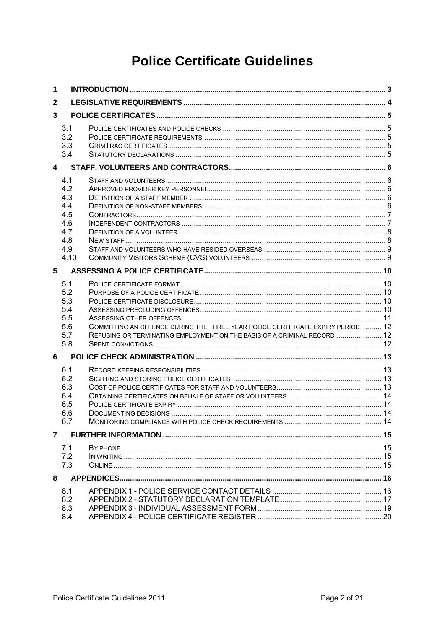# **Police Certificate Guidelines**

| 1                       |                                                                     |                                                                                                                                                              |  |  |
|-------------------------|---------------------------------------------------------------------|--------------------------------------------------------------------------------------------------------------------------------------------------------------|--|--|
| $\mathbf{2}$            |                                                                     |                                                                                                                                                              |  |  |
| 3                       |                                                                     |                                                                                                                                                              |  |  |
|                         | 3.1<br>3.2<br>3.3<br>3.4                                            |                                                                                                                                                              |  |  |
| $\overline{\mathbf{4}}$ |                                                                     |                                                                                                                                                              |  |  |
|                         | 4.1<br>4.2<br>4.3<br>4.4<br>4.5<br>4.6<br>4.7<br>4.8<br>4.9<br>4.10 |                                                                                                                                                              |  |  |
| 5 <sup>5</sup>          |                                                                     |                                                                                                                                                              |  |  |
|                         | 5.1<br>5.2<br>5.3<br>5.4<br>5.5<br>5.6<br>5.7<br>5.8                | COMMITTING AN OFFENCE DURING THE THREE YEAR POLICE CERTIFICATE EXPIRY PERIOD  12<br>REFUSING OR TERMINATING EMPLOYMENT ON THE BASIS OF A CRIMINAL RECORD  12 |  |  |
| 6                       |                                                                     |                                                                                                                                                              |  |  |
|                         | 6.1<br>6.2<br>6.3<br>6.4<br>6.5<br>6.6<br>6.7                       |                                                                                                                                                              |  |  |
| 7                       |                                                                     |                                                                                                                                                              |  |  |
|                         | 7.1<br>7.2<br>7.3                                                   |                                                                                                                                                              |  |  |
| 8                       |                                                                     |                                                                                                                                                              |  |  |
|                         | 8.1<br>8.2<br>8.3<br>8.4                                            |                                                                                                                                                              |  |  |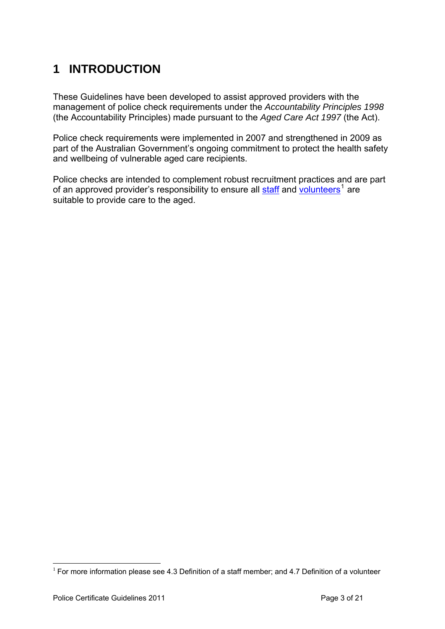# <span id="page-2-0"></span>**1 INTRODUCTION**

These Guidelines have been developed to assist approved providers with the management of police check requirements under the *Accountability Principles 1998* (the Accountability Principles) made pursuant to the *Aged Care Act 1997* (the Act).

Police check requirements were implemented in 2007 and strengthened in 2009 as part of the Australian Government's ongoing commitment to protect the health safety and wellbeing of vulnerable aged care recipients.

Police checks are intended to complement robust recruitment practices and are part of an approved provider's responsibility to ensure all **staff** and [volunteers](#page-7-0)<sup>[1](#page-2-1)</sup> are suitable to provide care to the aged.

<span id="page-2-1"></span><sup>1</sup>  $1$  For more information please see 4.3 Definition of a staff member; and 4.7 Definition of a volunteer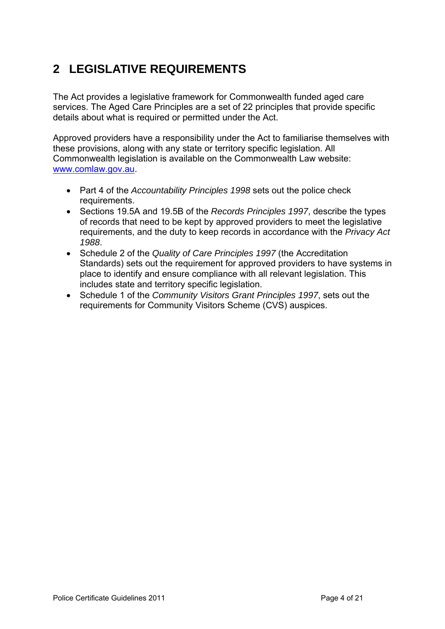# <span id="page-3-0"></span>**2 LEGISLATIVE REQUIREMENTS**

The Act provides a legislative framework for Commonwealth funded aged care services. The Aged Care Principles are a set of 22 principles that provide specific details about what is required or permitted under the Act.

Approved providers have a responsibility under the Act to familiarise themselves with these provisions, along with any state or territory specific legislation. All Commonwealth legislation is available on the Commonwealth Law website: [www.comlaw.gov.au](http://www.comlaw.gov.au/).

- Part 4 of the *Accountability Principles 1998* sets out the police check requirements.
- Sections 19.5A and 19.5B of the *Records Principles 1997*, describe the types of records that need to be kept by approved providers to meet the legislative requirements, and the duty to keep records in accordance with the *Privacy Act 1988*.
- Schedule 2 of the *Quality of Care Principles 1997* (the Accreditation Standards) sets out the requirement for approved providers to have systems in place to identify and ensure compliance with all relevant legislation. This includes state and territory specific legislation.
- Schedule 1 of the *Community Visitors Grant Principles 1997*, sets out the requirements for Community Visitors Scheme (CVS) auspices.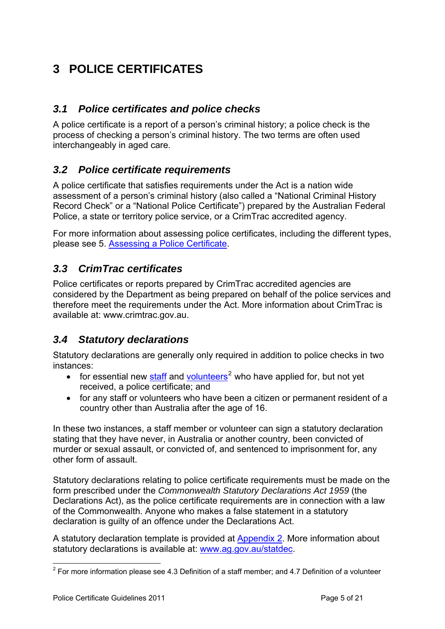# <span id="page-4-0"></span>**3 POLICE CERTIFICATES**

#### <span id="page-4-1"></span>*3.1 Police certificates and police checks*

A police certificate is a report of a person's criminal history; a police check is the process of checking a person's criminal history. The two terms are often used interchangeably in aged care.

#### <span id="page-4-2"></span>*3.2 Police certificate requirements*

A police certificate that satisfies requirements under the Act is a nation wide assessment of a person's criminal history (also called a "National Criminal History Record Check" or a "National Police Certificate") prepared by the Australian Federal Police, a state or territory police service, or a CrimTrac accredited agency.

For more information about assessing police certificates, including the different types, please see 5. [Assessing a Police Certificate.](#page-9-0)

#### <span id="page-4-3"></span>*3.3 CrimTrac certificates*

Police certificates or reports prepared by CrimTrac accredited agencies are considered by the Department as being prepared on behalf of the police services and therefore meet the requirements under the Act. More information about CrimTrac is available at: www.crimtrac.gov.au.

#### <span id="page-4-4"></span>*3.4 Statutory declarations*

Statutory declarations are generally only required in addition to police checks in two instances:

- for essential new  $\frac{\text{staff}}{\text{and } \text{volutions}}^2$  $\frac{\text{staff}}{\text{and } \text{volutions}}^2$  who have applied for, but not yet received, a police certificate; and
- for any staff or volunteers who have been a citizen or permanent resident of a country other than Australia after the age of 16.

In these two instances, a staff member or volunteer can sign a statutory declaration stating that they have never, in Australia or another country, been convicted of murder or sexual assault, or convicted of, and sentenced to imprisonment for, any other form of assault.

Statutory declarations relating to police certificate requirements must be made on the form prescribed under the *Commonwealth Statutory Declarations Act 1959* (the Declarations Act), as the police certificate requirements are in connection with a law of the Commonwealth. Anyone who makes a false statement in a statutory declaration is guilty of an offence under the Declarations Act.

A statutory declaration template is provided at [Appendix 2.](#page-16-0) More information about statutory declarations is available at: [www.ag.gov.au/statdec.](http://www.ag.gov.au/statdec)

<span id="page-4-5"></span><sup>&</sup>lt;u>.</u>  $2$  For more information please see 4.3 Definition of a staff member; and 4.7 Definition of a volunteer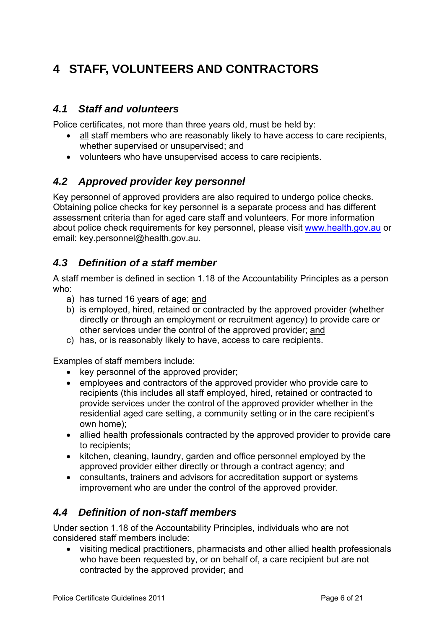# <span id="page-5-0"></span>**4 STAFF, VOLUNTEERS AND CONTRACTORS**

#### <span id="page-5-1"></span>*4.1 Staff and volunteers*

Police certificates, not more than three years old, must be held by:

- all staff members who are reasonably likely to have access to care recipients, whether supervised or unsupervised; and
- volunteers who have unsupervised access to care recipients.

#### <span id="page-5-2"></span>*4.2 Approved provider key personnel*

Key personnel of approved providers are also required to undergo police checks. Obtaining police checks for key personnel is a separate process and has different assessment criteria than for aged care staff and volunteers. For more information about police check requirements for key personnel, please visit [www.health.gov.au](http://www.health.gov.au/) or email: key.personnel@health.gov.au.

#### <span id="page-5-3"></span>*4.3 Definition of a staff member*

A staff member is defined in section 1.18 of the Accountability Principles as a person who:

- a) has turned 16 years of age; and
- b) is employed, hired, retained or contracted by the approved provider (whether directly or through an employment or recruitment agency) to provide care or other services under the control of the approved provider; and
- c) has, or is reasonably likely to have, access to care recipients.

Examples of staff members include:

- key personnel of the approved provider;
- employees and contractors of the approved provider who provide care to recipients (this includes all staff employed, hired, retained or contracted to provide services under the control of the approved provider whether in the residential aged care setting, a community setting or in the care recipient's own home);
- allied health professionals contracted by the approved provider to provide care to recipients;
- kitchen, cleaning, laundry, garden and office personnel employed by the approved provider either directly or through a contract agency; and
- consultants, trainers and advisors for accreditation support or systems improvement who are under the control of the approved provider.

#### <span id="page-5-4"></span>*4.4 Definition of non-staff members*

Under section 1.18 of the Accountability Principles, individuals who are not considered staff members include:

 visiting medical practitioners, pharmacists and other allied health professionals who have been requested by, or on behalf of, a care recipient but are not contracted by the approved provider; and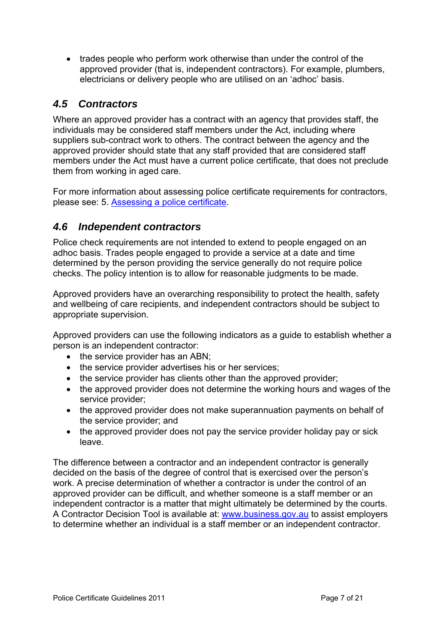• trades people who perform work otherwise than under the control of the approved provider (that is, independent contractors). For example, plumbers, electricians or delivery people who are utilised on an 'adhoc' basis.

#### <span id="page-6-0"></span>*4.5 Contractors*

Where an approved provider has a contract with an agency that provides staff, the individuals may be considered staff members under the Act, including where suppliers sub-contract work to others. The contract between the agency and the approved provider should state that any staff provided that are considered staff members under the Act must have a current police certificate, that does not preclude them from working in aged care.

For more information about assessing police certificate requirements for contractors, please see: 5. [Assessing a police certificate](#page-9-0).

#### <span id="page-6-1"></span>*4.6 Independent contractors*

Police check requirements are not intended to extend to people engaged on an adhoc basis. Trades people engaged to provide a service at a date and time determined by the person providing the service generally do not require police checks. The policy intention is to allow for reasonable judgments to be made.

Approved providers have an overarching responsibility to protect the health, safety and wellbeing of care recipients, and independent contractors should be subject to appropriate supervision.

Approved providers can use the following indicators as a guide to establish whether a person is an independent contractor:

- the service provider has an ABN:
- the service provider advertises his or her services:
- the service provider has clients other than the approved provider;
- the approved provider does not determine the working hours and wages of the service provider;
- the approved provider does not make superannuation payments on behalf of the service provider; and
- the approved provider does not pay the service provider holiday pay or sick leave.

The difference between a contractor and an independent contractor is generally decided on the basis of the degree of control that is exercised over the person's work. A precise determination of whether a contractor is under the control of an approved provider can be difficult, and whether someone is a staff member or an independent contractor is a matter that might ultimately be determined by the courts. A Contractor Decision Tool is available at: [www.business.gov.au](http://www.business.gov.au/IndependentContractors/DecisionTool.aspx) to assist employers to determine whether an individual is a staff member or an independent contractor.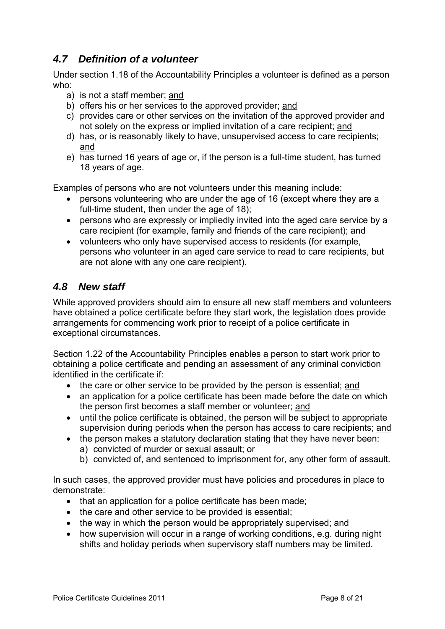#### <span id="page-7-0"></span>*4.7 Definition of a volunteer*

Under section 1.18 of the Accountability Principles a volunteer is defined as a person who:

- a) is not a staff member; and
- b) offers his or her services to the approved provider; and
- c) provides care or other services on the invitation of the approved provider and not solely on the express or implied invitation of a care recipient; and
- d) has, or is reasonably likely to have, unsupervised access to care recipients; and
- e) has turned 16 years of age or, if the person is a full-time student, has turned 18 years of age.

Examples of persons who are not volunteers under this meaning include:

- persons volunteering who are under the age of 16 (except where they are a full-time student, then under the age of 18);
- persons who are expressly or impliedly invited into the aged care service by a care recipient (for example, family and friends of the care recipient); and
- volunteers who only have supervised access to residents (for example, persons who volunteer in an aged care service to read to care recipients, but are not alone with any one care recipient).

#### <span id="page-7-1"></span>*4.8 New staff*

While approved providers should aim to ensure all new staff members and volunteers have obtained a police certificate before they start work, the legislation does provide arrangements for commencing work prior to receipt of a police certificate in exceptional circumstances.

Section 1.22 of the Accountability Principles enables a person to start work prior to obtaining a police certificate and pending an assessment of any criminal conviction identified in the certificate if:

- the care or other service to be provided by the person is essential; and
- an application for a police certificate has been made before the date on which the person first becomes a staff member or volunteer; and
- until the police certificate is obtained, the person will be subject to appropriate supervision during periods when the person has access to care recipients; and
- the person makes a statutory declaration stating that they have never been: a) convicted of murder or sexual assault; or
	- b) convicted of, and sentenced to imprisonment for, any other form of assault.

In such cases, the approved provider must have policies and procedures in place to demonstrate:

- that an application for a police certificate has been made;
- the care and other service to be provided is essential;
- the way in which the person would be appropriately supervised; and
- how supervision will occur in a range of working conditions, e.g. during night shifts and holiday periods when supervisory staff numbers may be limited.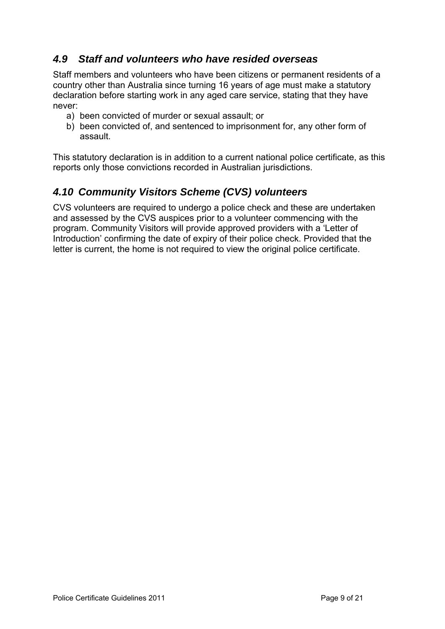### <span id="page-8-0"></span>*4.9 Staff and volunteers who have resided overseas*

Staff members and volunteers who have been citizens or permanent residents of a country other than Australia since turning 16 years of age must make a statutory declaration before starting work in any aged care service, stating that they have never:

- a) been convicted of murder or sexual assault; or
- b) been convicted of, and sentenced to imprisonment for, any other form of assault.

This statutory declaration is in addition to a current national police certificate, as this reports only those convictions recorded in Australian jurisdictions.

### <span id="page-8-1"></span>*4.10 Community Visitors Scheme (CVS) volunteers*

CVS volunteers are required to undergo a police check and these are undertaken and assessed by the CVS auspices prior to a volunteer commencing with the program. Community Visitors will provide approved providers with a 'Letter of Introduction' confirming the date of expiry of their police check. Provided that the letter is current, the home is not required to view the original police certificate.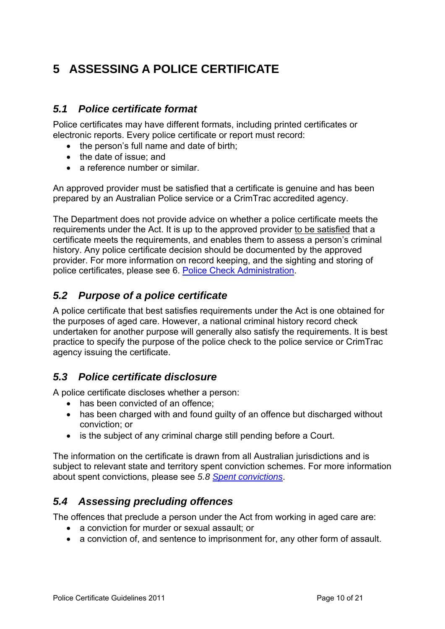# <span id="page-9-0"></span>**5 ASSESSING A POLICE CERTIFICATE**

#### <span id="page-9-1"></span>*5.1 Police certificate format*

Police certificates may have different formats, including printed certificates or electronic reports. Every police certificate or report must record:

- the person's full name and date of birth;
- the date of issue: and
- a reference number or similar.

An approved provider must be satisfied that a certificate is genuine and has been prepared by an Australian Police service or a CrimTrac accredited agency.

The Department does not provide advice on whether a police certificate meets the requirements under the Act. It is up to the approved provider to be satisfied that a certificate meets the requirements, and enables them to assess a person's criminal history. Any police certificate decision should be documented by the approved provider. For more information on record keeping, and the sighting and storing of police certificates, please see 6. [Police Check Administration.](#page-12-0)

#### <span id="page-9-2"></span>*5.2 Purpose of a police certificate*

A police certificate that best satisfies requirements under the Act is one obtained for the purposes of aged care. However, a national criminal history record check undertaken for another purpose will generally also satisfy the requirements. It is best practice to specify the purpose of the police check to the police service or CrimTrac agency issuing the certificate.

#### <span id="page-9-3"></span>*5.3 Police certificate disclosure*

A police certificate discloses whether a person:

- has been convicted of an offence;
- has been charged with and found quilty of an offence but discharged without conviction; or
- is the subject of any criminal charge still pending before a Court.

The information on the certificate is drawn from all Australian jurisdictions and is subject to relevant state and territory spent conviction schemes. For more information about spent convictions, please see *5.8 [Spent convictions](#page-11-2)*.

#### <span id="page-9-4"></span>*5.4 Assessing precluding offences*

The offences that preclude a person under the Act from working in aged care are:

- a conviction for murder or sexual assault; or
- a conviction of, and sentence to imprisonment for, any other form of assault.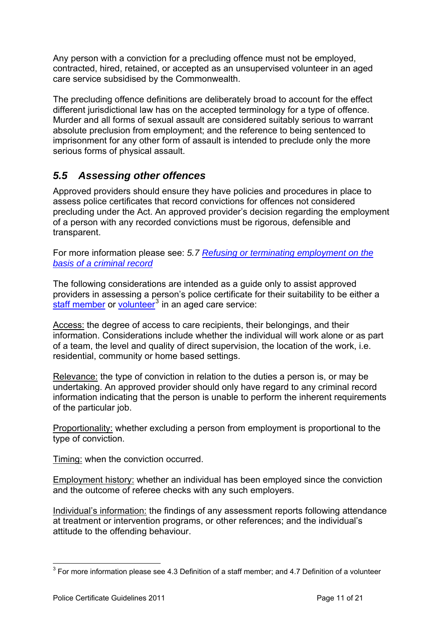Any person with a conviction for a precluding offence must not be employed, contracted, hired, retained, or accepted as an unsupervised volunteer in an aged care service subsidised by the Commonwealth.

The precluding offence definitions are deliberately broad to account for the effect different jurisdictional law has on the accepted terminology for a type of offence. Murder and all forms of sexual assault are considered suitably serious to warrant absolute preclusion from employment; and the reference to being sentenced to imprisonment for any other form of assault is intended to preclude only the more serious forms of physical assault.

### <span id="page-10-0"></span>*5.5 Assessing other offences*

Approved providers should ensure they have policies and procedures in place to assess police certificates that record convictions for offences not considered precluding under the Act. An approved provider's decision regarding the employment of a person with any recorded convictions must be rigorous, defensible and transparent.

For more information please see: *5.7 [Refusing or terminating employment on the](#page-11-1)  [basis of a criminal record](#page-11-1)*

The following considerations are intended as a guide only to assist approved providers in assessing a person's police certificate for their suitability to be either a [staff member](#page-5-3) or [volunteer](#page-7-0)<sup>[3](#page-10-1)</sup> in an aged care service:

Access: the degree of access to care recipients, their belongings, and their information. Considerations include whether the individual will work alone or as part of a team, the level and quality of direct supervision, the location of the work, i.e. residential, community or home based settings.

Relevance: the type of conviction in relation to the duties a person is, or may be undertaking. An approved provider should only have regard to any criminal record information indicating that the person is unable to perform the inherent requirements of the particular job.

Proportionality: whether excluding a person from employment is proportional to the type of conviction.

Timing: when the conviction occurred.

Employment history: whether an individual has been employed since the conviction and the outcome of referee checks with any such employers.

Individual's information: the findings of any assessment reports following attendance at treatment or intervention programs, or other references; and the individual's attitude to the offending behaviour.

<span id="page-10-1"></span><sup>&</sup>lt;u>.</u>  $3$  For more information please see 4.3 Definition of a staff member; and 4.7 Definition of a volunteer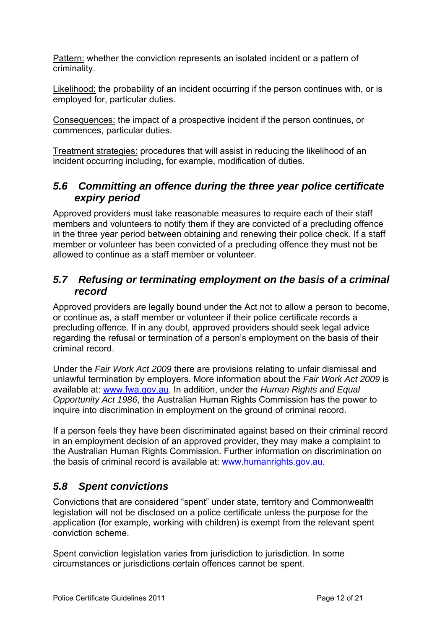Pattern: whether the conviction represents an isolated incident or a pattern of criminality.

Likelihood: the probability of an incident occurring if the person continues with, or is employed for, particular duties.

Consequences: the impact of a prospective incident if the person continues, or commences, particular duties.

Treatment strategies: procedures that will assist in reducing the likelihood of an incident occurring including, for example, modification of duties.

#### <span id="page-11-0"></span>*5.6 Committing an offence during the three year police certificate expiry period*

Approved providers must take reasonable measures to require each of their staff members and volunteers to notify them if they are convicted of a precluding offence in the three year period between obtaining and renewing their police check. If a staff member or volunteer has been convicted of a precluding offence they must not be allowed to continue as a staff member or volunteer.

#### <span id="page-11-1"></span>*5.7 Refusing or terminating employment on the basis of a criminal record*

Approved providers are legally bound under the Act not to allow a person to become, or continue as, a staff member or volunteer if their police certificate records a precluding offence. If in any doubt, approved providers should seek legal advice regarding the refusal or termination of a person's employment on the basis of their criminal record.

Under the *Fair Work Act 2009* there are provisions relating to unfair dismissal and unlawful termination by employers. More information about the *Fair Work Act 2009* is available at: [www.fwa.gov.au.](http://www.fwa.gov.au/) In addition, under the *Human Rights and Equal Opportunity Act 1986*, the Australian Human Rights Commission has the power to inquire into discrimination in employment on the ground of criminal record.

If a person feels they have been discriminated against based on their criminal record in an employment decision of an approved provider, they may make a complaint to the Australian Human Rights Commission. Further information on discrimination on the basis of criminal record is available at: [www.humanrights.gov.au.](http://www.humanrights.gov.au/)

### <span id="page-11-2"></span>*5.8 Spent convictions*

Convictions that are considered "spent" under state, territory and Commonwealth legislation will not be disclosed on a police certificate unless the purpose for the application (for example, working with children) is exempt from the relevant spent conviction scheme.

Spent conviction legislation varies from jurisdiction to jurisdiction. In some circumstances or jurisdictions certain offences cannot be spent.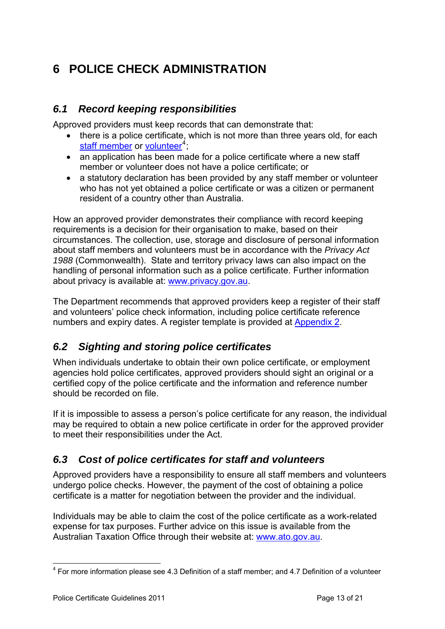# <span id="page-12-0"></span>**6 POLICE CHECK ADMINISTRATION**

#### <span id="page-12-1"></span>*6.1 Record keeping responsibilities*

Approved providers must keep records that can demonstrate that:

- there is a police certificate, which is not more than three years old, for each [staff member](#page-5-3) or [volunteer](#page-7-0)<sup>[4](#page-12-4)</sup>,
- an application has been made for a police certificate where a new staff member or volunteer does not have a police certificate; or
- a statutory declaration has been provided by any staff member or volunteer who has not yet obtained a police certificate or was a citizen or permanent resident of a country other than Australia.

How an approved provider demonstrates their compliance with record keeping requirements is a decision for their organisation to make, based on their circumstances. The collection, use, storage and disclosure of personal information about staff members and volunteers must be in accordance with the *Privacy Act 1988* (Commonwealth). State and territory privacy laws can also impact on the handling of personal information such as a police certificate. Further information about privacy is available at: [www.privacy.gov.au.](http://www.privacy.gov.au/)

The Department recommends that approved providers keep a register of their staff and volunteers' police check information, including police certificate reference numbers and expiry dates. A register template is provided at [Appendix 2](#page-16-0).

#### <span id="page-12-2"></span>*6.2 Sighting and storing police certificates*

When individuals undertake to obtain their own police certificate, or employment agencies hold police certificates, approved providers should sight an original or a certified copy of the police certificate and the information and reference number should be recorded on file.

If it is impossible to assess a person's police certificate for any reason, the individual may be required to obtain a new police certificate in order for the approved provider to meet their responsibilities under the Act.

#### <span id="page-12-3"></span>*6.3 Cost of police certificates for staff and volunteers*

Approved providers have a responsibility to ensure all staff members and volunteers undergo police checks. However, the payment of the cost of obtaining a police certificate is a matter for negotiation between the provider and the individual.

Individuals may be able to claim the cost of the police certificate as a work-related expense for tax purposes. Further advice on this issue is available from the Australian Taxation Office through their website at: [www.ato.gov.au](http://www.ato.gov.au/).

<span id="page-12-4"></span><sup>&</sup>lt;u>.</u>  $4$  For more information please see 4.3 Definition of a staff member; and 4.7 Definition of a volunteer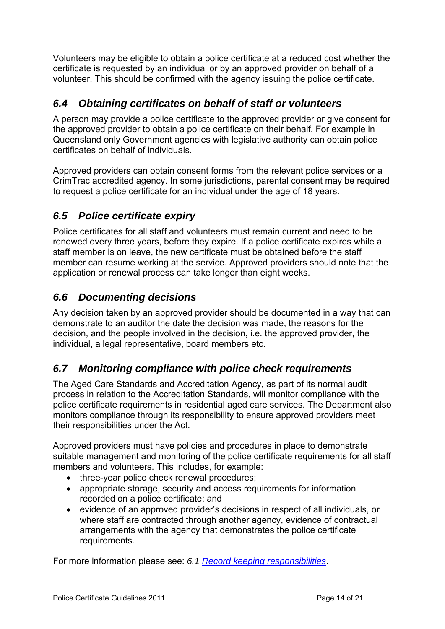Volunteers may be eligible to obtain a police certificate at a reduced cost whether the certificate is requested by an individual or by an approved provider on behalf of a volunteer. This should be confirmed with the agency issuing the police certificate.

### <span id="page-13-0"></span>*6.4 Obtaining certificates on behalf of staff or volunteers*

A person may provide a police certificate to the approved provider or give consent for the approved provider to obtain a police certificate on their behalf. For example in Queensland only Government agencies with legislative authority can obtain police certificates on behalf of individuals.

Approved providers can obtain consent forms from the relevant police services or a CrimTrac accredited agency. In some jurisdictions, parental consent may be required to request a police certificate for an individual under the age of 18 years.

### <span id="page-13-1"></span>*6.5 Police certificate expiry*

Police certificates for all staff and volunteers must remain current and need to be renewed every three years, before they expire. If a police certificate expires while a staff member is on leave, the new certificate must be obtained before the staff member can resume working at the service. Approved providers should note that the application or renewal process can take longer than eight weeks.

#### <span id="page-13-2"></span>*6.6 Documenting decisions*

Any decision taken by an approved provider should be documented in a way that can demonstrate to an auditor the date the decision was made, the reasons for the decision, and the people involved in the decision, i.e. the approved provider, the individual, a legal representative, board members etc.

### <span id="page-13-3"></span>*6.7 Monitoring compliance with police check requirements*

The Aged Care Standards and Accreditation Agency, as part of its normal audit process in relation to the Accreditation Standards, will monitor compliance with the police certificate requirements in residential aged care services. The Department also monitors compliance through its responsibility to ensure approved providers meet their responsibilities under the Act.

Approved providers must have policies and procedures in place to demonstrate suitable management and monitoring of the police certificate requirements for all staff members and volunteers. This includes, for example:

- three-year police check renewal procedures;
- appropriate storage, security and access requirements for information recorded on a police certificate; and
- evidence of an approved provider's decisions in respect of all individuals, or where staff are contracted through another agency, evidence of contractual arrangements with the agency that demonstrates the police certificate requirements.

For more information please see: *6.1 [Record keeping responsibilities](#page-12-1)*.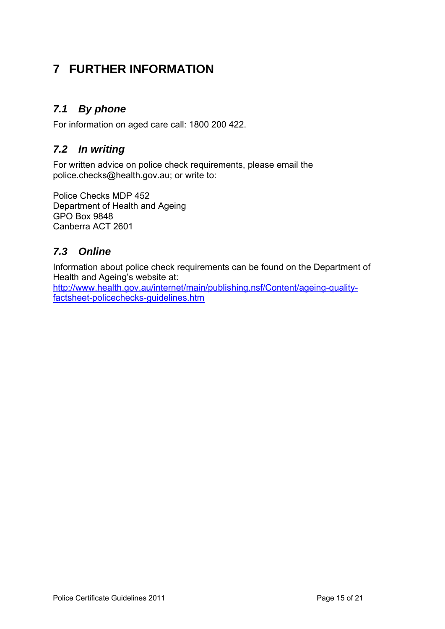## <span id="page-14-0"></span>**7 FURTHER INFORMATION**

### <span id="page-14-1"></span>*7.1 By phone*

For information on aged care call: 1800 200 422.

#### <span id="page-14-2"></span>*7.2 In writing*

For written advice on police check requirements, please email the police.checks@health.gov.au; or write to:

Police Checks MDP 452 Department of Health and Ageing GPO Box 9848 Canberra ACT 2601

### <span id="page-14-3"></span>*7.3 Online*

Information about police check requirements can be found on the Department of Health and Ageing's website at:

[http://www.health.gov.au/internet/main/publishing.nsf/Content/ageing-quality](http://www.health.gov.au/internet/main/publishing.nsf/Content/ageing-quality-factsheet-policechecks-guidelines.htm)[factsheet-policechecks-guidelines.htm](http://www.health.gov.au/internet/main/publishing.nsf/Content/ageing-quality-factsheet-policechecks-guidelines.htm)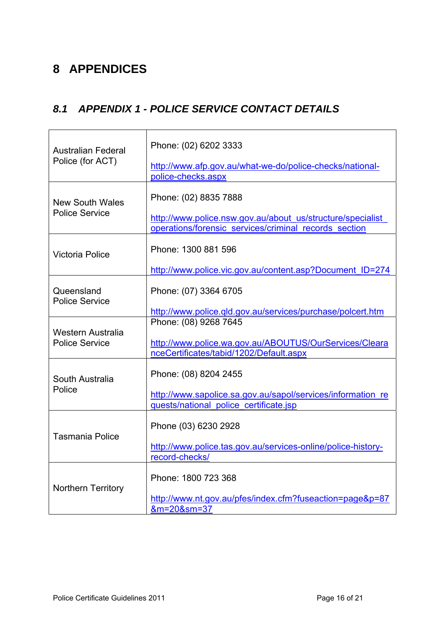## <span id="page-15-0"></span>**8 APPENDICES**

### <span id="page-15-1"></span>*8.1 APPENDIX 1 - POLICE SERVICE CONTACT DETAILS*

| <b>Australian Federal</b><br>Police (for ACT)   | Phone: (02) 6202 3333<br>http://www.afp.gov.au/what-we-do/police-checks/national-<br>police-checks.aspx                                      |
|-------------------------------------------------|----------------------------------------------------------------------------------------------------------------------------------------------|
| <b>New South Wales</b><br><b>Police Service</b> | Phone: (02) 8835 7888<br>http://www.police.nsw.gov.au/about_us/structure/specialist<br>operations/forensic services/criminal records section |
| <b>Victoria Police</b>                          | Phone: 1300 881 596<br>http://www.police.vic.gov.au/content.asp?Document ID=274                                                              |
| Queensland<br><b>Police Service</b>             | Phone: (07) 3364 6705<br>http://www.police.qld.gov.au/services/purchase/polcert.htm                                                          |
| Western Australia<br><b>Police Service</b>      | Phone: (08) 9268 7645<br>http://www.police.wa.gov.au/ABOUTUS/OurServices/Cleara<br>nceCertificates/tabid/1202/Default.aspx                   |
| South Australia<br>Police                       | Phone: (08) 8204 2455<br>http://www.sapolice.sa.gov.au/sapol/services/information re<br>quests/national police certificate.jsp               |
| <b>Tasmania Police</b>                          | Phone (03) 6230 2928<br>http://www.police.tas.gov.au/services-online/police-history-<br>record-checks/                                       |
| Northern Territory                              | Phone: 1800 723 368<br>http://www.nt.gov.au/pfes/index.cfm?fuseaction=page&p=87<br>&m=20&sm=37                                               |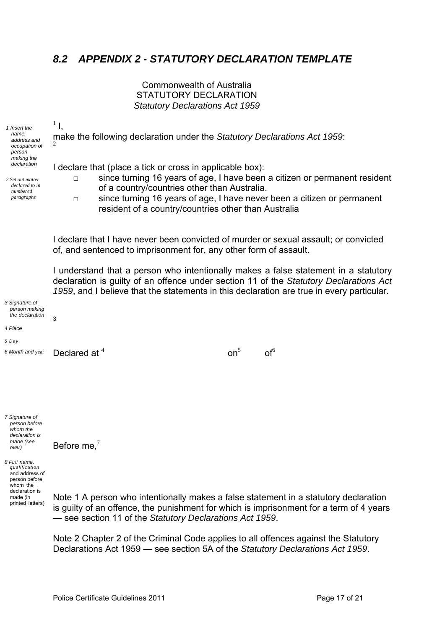#### <span id="page-16-0"></span>*8.2 APPENDIX 2 - STATUTORY DECLARATION TEMPLATE*

#### Commonwealth of Australia STATUTORY DECLARATION *Statutory Declarations Act 1959*

make the following declaration under the *Statutory Declarations Act 1959*:

1 Insert the *name, address and occupation of person making the declaration* 

 $1<sub>1</sub>$ 

2

*2 Set out matter declared to in numbered paragraphs* 

I declare that (place a tick or cross in applicable box):

on $5$  on  $5$  on  $5$  on  $5$  on  $5$ 

□ since turning 16 years of age, I have been a citizen or permanent resident of a country/countries other than Australia.

□ since turning 16 years of age, I have never been a citizen or permanent resident of a country/countries other than Australia

I declare that I have never been convicted of murder or sexual assault; or convicted of, and sentenced to imprisonment for, any other form of assault.

I understand that a person who intentionally makes a false statement in a statutory declaration is guilty of an offence under section 11 of the *Statutory Declarations Act 1959*, and I believe that the statements in this declaration are true in every particular.

 $on<sup>5</sup>$  of<sup>6</sup>

*3 Signature of person making the declaration* 

*4 Place* 

*5 Day* 

 $\lambda$  *nonth* and year **Declared at**  $\lambda$  **1** *C***<sub>1</sub> <b>***C***<sub>1</sub>** *C***<sub>1</sub>** *C***<sub>1</sub>** *C***<sub>1</sub>** *C***<sub>1</sub>** *C***<sub>1</sub>** *C***<sub>1</sub>** *C***<sub>1</sub>** *C***<sub>1</sub>** *C***<sub>1</sub>** *C***<sub>1</sub>** *C***<sub>1</sub>** *C***<sub>1</sub>** *C***<sub>1</sub>** *C***<sub>1</sub>** *C***<sub>1</sub>** *C***<sub>1</sub>** *C***<sub>1</sub>** *C***<sub>1**</sub> *6 Month and* year

Before me.<sup>7</sup>

3

*7 Signature of person before whom the declaration is made (see over)* 

*8 Full name, qualification*  and address of person before whom the declaration is made (in printed letters)

Note 1 A person who intentionally makes a false statement in a statutory declaration is guilty of an offence, the punishment for which is imprisonment for a term of 4 years — see section 11 of the *Statutory Declarations Act 1959*.

Note 2 Chapter 2 of the Criminal Code applies to all offences against the Statutory Declarations Act 1959 — see section 5A of the *Statutory Declarations Act 1959*.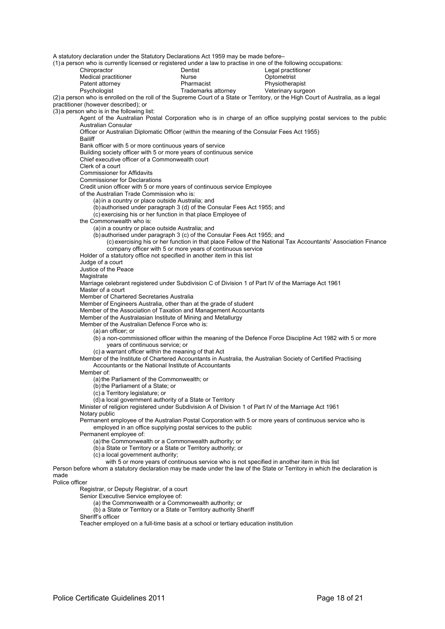A statutory declaration under the Statutory Declarations Act 1959 may be made before–

(1) a person who is currently licensed or registered under a law to practise in one of the following occupations:

| Chiropractor         | Dentist             | Legal practitioner |
|----------------------|---------------------|--------------------|
| Medical practitioner | Nurse               | Optometrist        |
| Patent attorney      | Pharmacist          | Physiotherapist    |
| <b>Devehologiet</b>  | Trademarke attornew | Vatarinary surgeo  |

|             | Legal practi |
|-------------|--------------|
|             | Optometrist  |
| st          | Physiothera  |
| ks attornev | Veterinary s |

Psychologist **Trademarks attorney** Veterinary surgeon (2) a person who is enrolled on the roll of the Supreme Court of a State or Territory, or the High Court of Australia, as a legal practitioner (however described); or

(3) a person who is in the following list:

Agent of the Australian Postal Corporation who is in charge of an office supplying postal services to the public Australian Consular

Officer or Australian Diplomatic Officer (within the meaning of the Consular Fees Act 1955)

Bailiff

Bank officer with 5 or more continuous years of service Building society officer with 5 or more years of continuous service

Chief executive officer of a Commonwealth court

Clerk of a court

Commissioner for Affidavits

Commissioner for Declarations

Credit union officer with 5 or more years of continuous service Employee

of the Australian Trade Commission who is:

(a) in a country or place outside Australia; and

(b) authorised under paragraph 3 (d) of the Consular Fees Act 1955; and

(c) exercising his or her function in that place Employee of

the Commonwealth who is:

(a) in a country or place outside Australia; and

(b) authorised under paragraph 3 (c) of the Consular Fees Act 1955; and

- (c) exercising his or her function in that place Fellow of the National Tax Accountants' Association Finance company officer with 5 or more years of continuous service
- Holder of a statutory office not specified in another item in this list

Judge of a court

Justice of the Peace

**Magistrate** 

Marriage celebrant registered under Subdivision C of Division 1 of Part IV of the Marriage Act 1961

Master of a court

Member of Chartered Secretaries Australia

Member of Engineers Australia, other than at the grade of student

Member of the Association of Taxation and Management Accountants

Member of the Australasian Institute of Mining and Metallurgy

Member of the Australian Defence Force who is:

(a) an officer; or

 $(b)$  a non-commissioned officer within the meaning of the Defence Force Discipline Act 1982 with 5 or more years of continuous service; or

(c) a warrant officer within the meaning of that Act

Member of the Institute of Chartered Accountants in Australia, the Australian Society of Certified Practising Accountants or the National Institute of Accountants

Member of:

(a) the Parliament of the Commonwealth; or

(b) the Parliament of a State; or

(c) a Territory legislature; or

(d) a local government authority of a State or Territory

Minister of religion registered under Subdivision A of Division 1 of Part IV of the Marriage Act 1961 Notary public

Permanent employee of the Australian Postal Corporation with 5 or more years of continuous service who is employed in an office supplying postal services to the public

Permanent employee of:

(a) the Commonwealth or a Commonwealth authority; or

(b) a State or Territory or a State or Territory authority; or

(c) a local government authority;

with 5 or more years of continuous service who is not specified in another item in this list

Person before whom a statutory declaration may be made under the law of the State or Territory in which the declaration is made

#### Police officer

Registrar, or Deputy Registrar, of a court

Senior Executive Service employee of:

(a) the Commonwealth or a Commonwealth authority; or

(b) a State or Territory or a State or Territory authority Sheriff

Sheriff's officer

Teacher employed on a full-time basis at a school or tertiary education institution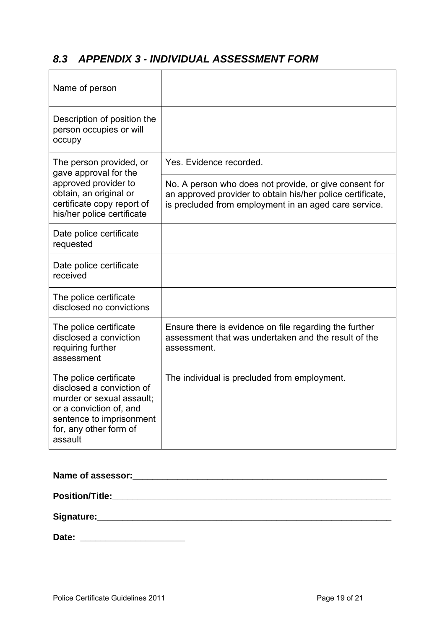### <span id="page-18-0"></span>*8.3 APPENDIX 3 - INDIVIDUAL ASSESSMENT FORM*

| Name of person                                                                                                                                                               |                                                                                                                                                                               |
|------------------------------------------------------------------------------------------------------------------------------------------------------------------------------|-------------------------------------------------------------------------------------------------------------------------------------------------------------------------------|
| Description of position the<br>person occupies or will<br>occupy                                                                                                             |                                                                                                                                                                               |
| The person provided, or<br>gave approval for the                                                                                                                             | Yes. Evidence recorded.                                                                                                                                                       |
| approved provider to<br>obtain, an original or<br>certificate copy report of<br>his/her police certificate                                                                   | No. A person who does not provide, or give consent for<br>an approved provider to obtain his/her police certificate,<br>is precluded from employment in an aged care service. |
| Date police certificate<br>requested                                                                                                                                         |                                                                                                                                                                               |
| Date police certificate<br>received                                                                                                                                          |                                                                                                                                                                               |
| The police certificate<br>disclosed no convictions                                                                                                                           |                                                                                                                                                                               |
| The police certificate<br>disclosed a conviction<br>requiring further<br>assessment                                                                                          | Ensure there is evidence on file regarding the further<br>assessment that was undertaken and the result of the<br>assessment.                                                 |
| The police certificate<br>disclosed a conviction of<br>murder or sexual assault;<br>or a conviction of, and<br>sentence to imprisonment<br>for, any other form of<br>assault | The individual is precluded from employment.                                                                                                                                  |

| Date: _________________________ |  |  |
|---------------------------------|--|--|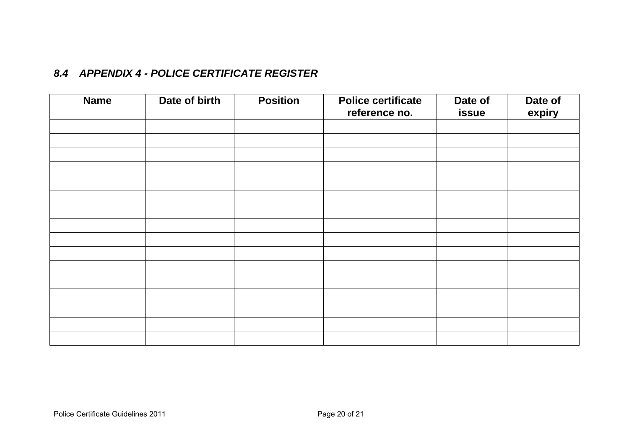#### *8.4 APPENDIX 4 - POLICE CERTIFICATE REGISTER*

<span id="page-19-0"></span>

| <b>Name</b> | Date of birth | <b>Position</b> | <b>Police certificate</b><br>reference no. | Date of<br>issue | Date of<br>expiry |
|-------------|---------------|-----------------|--------------------------------------------|------------------|-------------------|
|             |               |                 |                                            |                  |                   |
|             |               |                 |                                            |                  |                   |
|             |               |                 |                                            |                  |                   |
|             |               |                 |                                            |                  |                   |
|             |               |                 |                                            |                  |                   |
|             |               |                 |                                            |                  |                   |
|             |               |                 |                                            |                  |                   |
|             |               |                 |                                            |                  |                   |
|             |               |                 |                                            |                  |                   |
|             |               |                 |                                            |                  |                   |
|             |               |                 |                                            |                  |                   |
|             |               |                 |                                            |                  |                   |
|             |               |                 |                                            |                  |                   |
|             |               |                 |                                            |                  |                   |
|             |               |                 |                                            |                  |                   |